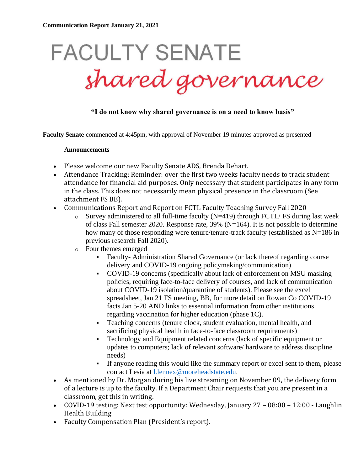# **FACULTY SENATE** shared governance

# **"I do not know why shared governance is on a need to know basis"**

**Faculty Senate** commenced at 4:45pm, with approval of November 19 minutes approved as presented

#### **Announcements**

- Please welcome our new Faculty Senate ADS, Brenda Dehart.
- Attendance Tracking: Reminder: over the first two weeks faculty needs to track student attendance for financial aid purposes. Only necessary that student participates in any form in the class. This does not necessarily mean physical presence in the classroom (See attachment FS BB).
- Communications Report and Report on FCTL Faculty Teaching Survey Fall 2020
	- $\circ$  Survey administered to all full-time faculty (N=419) through FCTL/ FS during last week of class Fall semester 2020. Response rate, 39% (N=164). It is not possible to determine how many of those responding were tenure/tenure-track faculty (established as N=186 in previous research Fall 2020).
	- o Four themes emerged
		- Faculty- Administration Shared Governance (or lack thereof regarding course delivery and COVID-19 ongoing policymaking/communication)
		- COVID-19 concerns (specifically about lack of enforcement on MSU masking policies, requiring face-to-face delivery of courses, and lack of communication about COVID-19 isolation/quarantine of students). Please see the excel spreadsheet, Jan 21 FS meeting, BB, for more detail on Rowan Co COVID-19 facts Jan 5-20 AND links to essential information from other institutions regarding vaccination for higher education (phase 1C).
		- Teaching concerns (tenure clock, student evaluation, mental health, and sacrificing physical health in face-to-face classroom requirements)
		- Technology and Equipment related concerns (lack of specific equipment or updates to computers; lack of relevant software/ hardware to address discipline needs)
		- If anyone reading this would like the summary report or excel sent to them, please contact Lesia at [l.lennex@moreheadstate.edu.](mailto:l.lennex@moreheadstate.edu)
- As mentioned by Dr. Morgan during his live streaming on November 09, the delivery form of a lecture is up to the faculty. If a Department Chair requests that you are present in a classroom, get this in writing.
- COVID-19 testing: Next test opportunity: Wednesday, January 27 08:00 12:00 Laughlin Health Building
- Faculty Compensation Plan (President's report).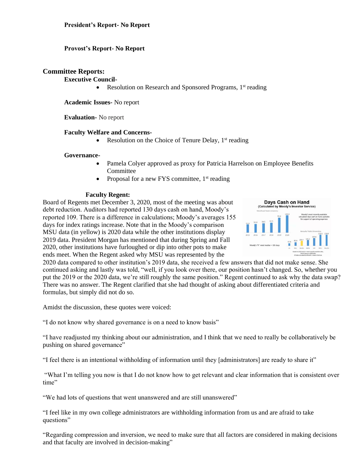# **Provost's Report- No Report**

# **Committee Reports:**

#### **Executive Council-**

• Resolution on Research and Sponsored Programs,  $1<sup>st</sup>$  reading

**Academic Issues-** No report

**Evaluation-** No report

## **Faculty Welfare and Concerns-**

Resolution on the Choice of Tenure Delay,  $1<sup>st</sup>$  reading

#### **Governance-**

- Pamela Colyer approved as proxy for Patricia Harrelson on Employee Benefits Committee
- Proposal for a new FYS committee,  $1<sup>st</sup>$  reading

#### **Faculty Regent:**

Board of Regents met December 3, 2020, most of the meeting was about debt reduction. Auditors had reported 130 days cash on hand, Moody's reported 109. There is a difference in calculations; Moody's averages 155 days for index ratings increase. Note that in the Moody's comparison MSU data (in yellow) is 2020 data while the other institutions display 2019 data. President Morgan has mentioned that during Spring and Fall 2020, other institutions have furloughed or dip into other pots to make ends meet. When the Regent asked why MSU was represented by the



2020 data compared to other institution's 2019 data, she received a few answers that did not make sense. She continued asking and lastly was told, "well, if you look over there, our position hasn't changed. So, whether you put the 2019 or the 2020 data, we're still roughly the same position." Regent continued to ask why the data swap? There was no answer. The Regent clarified that she had thought of asking about differentiated criteria and formulas, but simply did not do so.

Amidst the discussion, these quotes were voiced:

"I do not know why shared governance is on a need to know basis"

"I have readjusted my thinking about our administration, and I think that we need to really be collaboratively be pushing on shared governance"

"I feel there is an intentional withholding of information until they [administrators] are ready to share it"

"What I'm telling you now is that I do not know how to get relevant and clear information that is consistent over time"

"We had lots of questions that went unanswered and are still unanswered"

"I feel like in my own college administrators are withholding information from us and are afraid to take questions"

"Regarding compression and inversion, we need to make sure that all factors are considered in making decisions and that faculty are involved in decision-making"